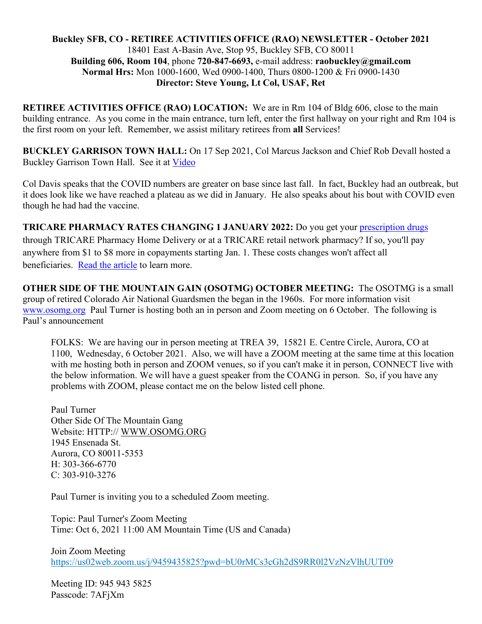#### **Buckley SFB, CO - RETIREE ACTIVITIES OFFICE (RAO) NEWSLETTER - October 2021** 18401 East A-Basin Ave, Stop 95, Buckley SFB, CO 80011 **Building 606, Room 104**, phone **720-847-6693,** e-mail address: **raobuckley@gmail.com Normal Hrs:** Mon 1000-1600, Wed 0900-1400, Thurs 0800-1200 & Fri 0900-1430 **Director: Steve Young, Lt Col, USAF, Ret**

**RETIREE ACTIVITIES OFFICE (RAO) LOCATION:** We are in Rm 104 of Bldg 606, close to the main building entrance. As you come in the main entrance, turn left, enter the first hallway on your right and Rm 104 is the first room on your left. Remember, we assist military retirees from **all** Services!

**BUCKLEY GARRISON TOWN HALL:** On 17 Sep 2021, Col Marcus Jackson and Chief Rob Devall hosted a Buckley Garrison Town Hall. See it at [Video](https://www.facebook.com/BuckleySpaceForceBase/videos/216202540565240) 

Col Davis speaks that the COVID numbers are greater on base since last fall. In fact, Buckley had an outbreak, but it does look like we have reached a plateau as we did in January. He also speaks about his bout with COVID even though he had had the vaccine.

**TRICARE PHARMACY RATES CHANGING 1 JANUARY 2022:** Do you get your [prescription drugs](https://urldefense.com/v3/__https:/lnks.gd/l/eyJhbGciOiJIUzI1NiJ9.eyJidWxsZXRpbl9saW5rX2lkIjoxMTEsInVyaSI6ImJwMjpjbGljayIsImJ1bGxldGluX2lkIjoiMjAyMTA5MjkuNDY2MjUxNzEiLCJ1cmwiOiJodHRwczovL25ld3Nyb29tLnRyaWNhcmUubWlsL0FydGljbGVzL0FydGljbGUvMjc5MjI4My90cmljYXJlLXBoYXJtYWN5LWNvcGF5bWVudHMtdG8taW5jcmVhc2UtaW4tMjAyMiJ9.NIxVUJwCX8J8_Bn7SzrQzwfuHjD8Za8QPxF6s0stuzA/s/785502583/br/113067196331-l__;!!Js732Vmb!-gxlPlc7LldCisTuWwXdG4DZ2JhpalOPv-JV9IfQWAenZxbxdv2HIHU6JlED-IMG3g$) through TRICARE Pharmacy Home Delivery or at a TRICARE retail network pharmacy? If so, you'll pay anywhere from \$1 to \$8 more in copayments starting Jan. 1. These costs changes won't affect all beneficiaries. [Read the article](https://urldefense.com/v3/__https:/lnks.gd/l/eyJhbGciOiJIUzI1NiJ9.eyJidWxsZXRpbl9saW5rX2lkIjoxMTIsInVyaSI6ImJwMjpjbGljayIsImJ1bGxldGluX2lkIjoiMjAyMTA5MjkuNDY2MjUxNzEiLCJ1cmwiOiJodHRwczovL25ld3Nyb29tLnRyaWNhcmUubWlsL0FydGljbGVzL0FydGljbGUvMjc5MjI4My90cmljYXJlLXBoYXJtYWN5LWNvcGF5bWVudHMtdG8taW5jcmVhc2UtaW4tMjAyMiJ9.VNLHw_9HZDqStM-lkOSag9NjwSWUBNZQIDmyBnifTno/s/785502583/br/113067196331-l__;!!Js732Vmb!-gxlPlc7LldCisTuWwXdG4DZ2JhpalOPv-JV9IfQWAenZxbxdv2HIHU6JlExGOlnwA$) to learn more.

**OTHER SIDE OF THE MOUNTAIN GAIN (OSOTMG) OCTOBER MEETING:** The OSOTMG is a small group of retired Colorado Air National Guardsmen the began in the 1960s. For more information visit [www.osomg.org](http://www.osomg.org/) Paul Turner is hosting both an in person and Zoom meeting on 6 October. The following is Paul's announcement

FOLKS: We are having our in person meeting at TREA 39, 15821 E. Centre Circle, Aurora, CO at 1100, Wednesday, 6 October 2021. Also, we will have a ZOOM meeting at the same time at this location with me hosting both in person and ZOOM venues, so if you can't make it in person, CONNECT live with the below information. We will have a guest speaker from the COANG in person. So, if you have any problems with ZOOM, please contact me on the below listed cell phone.

Paul Turner Other Side Of The Mountain Gang Website: HTTP:// [WWW.OSOMG.ORG](http://www.osomg.org/) 1945 Ensenada St. Aurora, CO 80011-5353 H: 303-366-6770 C: 303-910-3276

Paul Turner is inviting you to a scheduled Zoom meeting.

Topic: Paul Turner's Zoom Meeting Time: Oct 6, 2021 11:00 AM Mountain Time (US and Canada)

Join Zoom Meeting <https://us02web.zoom.us/j/9459435825?pwd=bU0rMCs3cGh2dS9RR0l2VzNzVlhUUT09>

Meeting ID: 945 943 5825 Passcode: 7AFjXm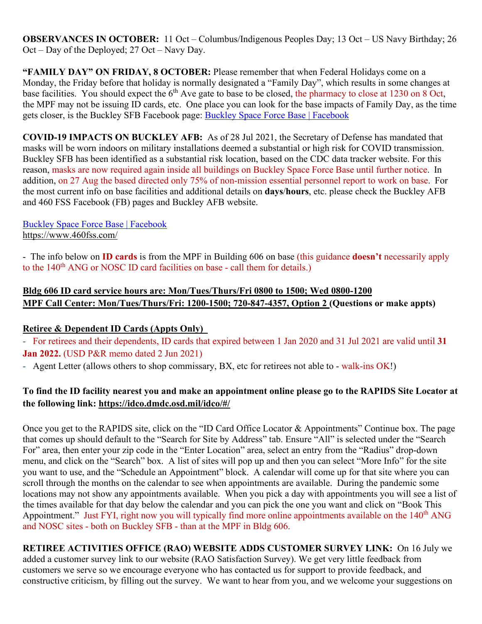**OBSERVANCES IN OCTOBER:** 11 Oct – Columbus/Indigenous Peoples Day; 13 Oct – US Navy Birthday; 26 Oct – Day of the Deployed; 27 Oct – Navy Day.

**"FAMILY DAY" ON FRIDAY, 8 OCTOBER:** Please remember that when Federal Holidays come on a Monday, the Friday before that holiday is normally designated a "Family Day", which results in some changes at base facilities. You should expect the 6<sup>th</sup> Ave gate to base to be closed, the pharmacy to close at 1230 on 8 Oct, the MPF may not be issuing ID cards, etc. One place you can look for the base impacts of Family Day, as the time gets closer, is the Buckley SFB Facebook page: [Buckley Space Force Base | Facebook](https://www.facebook.com/BuckleySpaceForceBase/)

**COVID-19 IMPACTS ON BUCKLEY AFB:** As of 28 Jul 2021, the Secretary of Defense has mandated that masks will be worn indoors on military installations deemed a substantial or high risk for COVID transmission. Buckley SFB has been identified as a substantial risk location, based on the CDC data tracker website. For this reason, masks are now required again inside all buildings on Buckley Space Force Base until further notice. In addition, on 27 Aug the based directed only 75% of non-mission essential personnel report to work on base. For the most current info on base facilities and additional details on **days**/**hours**, etc. please check the Buckley AFB and 460 FSS Facebook (FB) pages and Buckley AFB website.

[Buckley Space Force Base | Facebook](https://www.facebook.com/BuckleySpaceForceBase/) <https://www.460fss.com/>

- The info below on **ID cards** is from the MPF in Building 606 on base (this guidance **doesn't** necessarily apply to the  $140<sup>th</sup>$  ANG or NOSC ID card facilities on base - call them for details.)

# **Bldg 606 ID card service hours are: Mon/Tues/Thurs/Fri 0800 to 1500; Wed 0800-1200 MPF Call Center: Mon/Tues/Thurs/Fri: 1200-1500; 720-847-4357, Option 2 (Questions or make appts)**

# **Retiree & Dependent ID Cards (Appts Only)**

- For retirees and their dependents, ID cards that expired between 1 Jan 2020 and 31 Jul 2021 are valid until **31 Jan 2022.** (USD P&R memo dated 2 Jun 2021)

- Agent Letter (allows others to shop commissary, BX, etc for retirees not able to - walk-ins OK!)

# **To find the ID facility nearest you and make an appointment online please go to the RAPIDS Site Locator at the following link:<https://idco.dmdc.osd.mil/idco/#/>**

Once you get to the RAPIDS site, click on the "ID Card Office Locator & Appointments" Continue box. The page that comes up should default to the "Search for Site by Address" tab. Ensure "All" is selected under the "Search For" area, then enter your zip code in the "Enter Location" area, select an entry from the "Radius" drop-down menu, and click on the "Search" box. A list of sites will pop up and then you can select "More Info" for the site you want to use, and the "Schedule an Appointment" block. A calendar will come up for that site where you can scroll through the months on the calendar to see when appointments are available. During the pandemic some locations may not show any appointments available. When you pick a day with appointments you will see a list of the times available for that day below the calendar and you can pick the one you want and click on "Book This Appointment." Just FYI, right now you will typically find more online appointments available on the 140<sup>th</sup> ANG and NOSC sites - both on Buckley SFB - than at the MPF in Bldg 606.

**RETIREE ACTIVITIES OFFICE (RAO) WEBSITE ADDS CUSTOMER SURVEY LINK:** On 16 July we added a customer survey link to our website (RAO Satisfaction Survey). We get very little feedback from customers we serve so we encourage everyone who has contacted us for support to provide feedback, and constructive criticism, by filling out the survey. We want to hear from you, and we welcome your suggestions on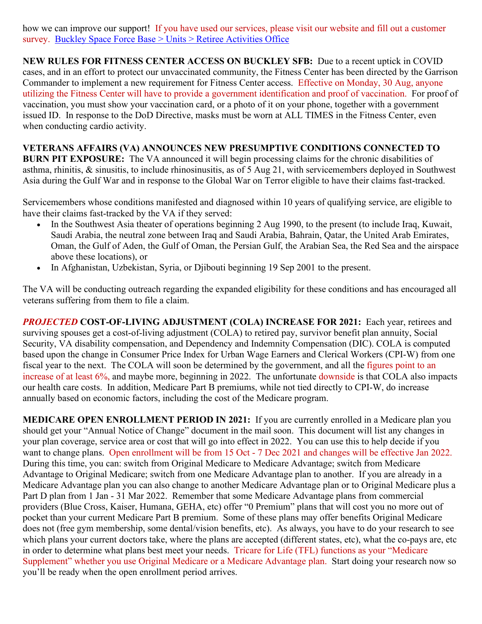how we can improve our support! If you have used our services, please visit our website and fill out a customer survey. [Buckley Space Force Base > Units > Retiree Activities Office](https://www.buckley.spaceforce.mil/Units/Retiree-Activities-Office/)

**NEW RULES FOR FITNESS CENTER ACCESS ON BUCKLEY SFB:** Due to a recent uptick in COVID cases, and in an effort to protect our unvaccinated community, the Fitness Center has been directed by the Garrison Commander to implement a new requirement for Fitness Center access. Effective on Monday, 30 Aug, anyone utilizing the Fitness Center will have to provide a government identification and proof of vaccination. For proof of vaccination, you must show your vaccination card, or a photo of it on your phone, together with a government issued ID. In response to the DoD Directive, masks must be worn at ALL TIMES in the Fitness Center, even when conducting cardio activity.

**VETERANS AFFAIRS (VA) ANNOUNCES NEW PRESUMPTIVE CONDITIONS CONNECTED TO BURN PIT EXPOSURE:** The VA announced it will begin processing claims for the chronic disabilities of asthma, rhinitis, & sinusitis, to include rhinosinusitis, as of 5 Aug 21, with servicemembers deployed in Southwest Asia during the Gulf War and in response to the Global War on Terror eligible to have their claims fast-tracked.

Servicemembers whose conditions manifested and diagnosed within 10 years of qualifying service, are eligible to have their claims fast-tracked by the VA if they served:

- In the Southwest Asia theater of operations beginning 2 Aug 1990, to the present (to include Iraq, Kuwait, Saudi Arabia, the neutral zone between Iraq and Saudi Arabia, Bahrain, Qatar, the United Arab Emirates, Oman, the Gulf of Aden, the Gulf of Oman, the Persian Gulf, the Arabian Sea, the Red Sea and the airspace above these locations), or
- In Afghanistan, Uzbekistan, Syria, or Djibouti beginning 19 Sep 2001 to the present.

The VA will be conducting outreach regarding the expanded eligibility for these conditions and has encouraged all veterans suffering from them to [file a claim.](https://www.moaa.org/content/publications-and-media/news-articles/2020-news-articles/you-ask,-moaa-answers-va-claims/)

*PROJECTED* **COST-OF-LIVING ADJUSTMENT (COLA) INCREASE FOR 2021:** Each year, retirees and surviving spouses get a cost-of-living adjustment (COLA) to retired pay, survivor benefit plan annuity, Social Security, VA disability compensation, and Dependency and Indemnity Compensation (DIC). COLA is computed based upon the change in Consumer Price Index for Urban Wage Earners and Clerical Workers (CPI-W) from one fiscal year to the next. The COLA will soon be determined by the government, and all the figures point to an increase of at least 6%, and maybe more, beginning in 2022. The unfortunate downside is that COLA also impacts our health care costs. In addition, Medicare Part B premiums, while not tied directly to CPI-W, do increase annually based on economic factors, including the cost of the Medicare program.

**MEDICARE OPEN ENROLLMENT PERIOD IN 2021:** If you are currently enrolled in a Medicare plan you should get your "Annual Notice of Change" document in the mail soon. This document will list any changes in your plan coverage, service area or cost that will go into effect in 2022. You can use this to help decide if you want to change plans. Open enrollment will be from 15 Oct - 7 Dec 2021 and changes will be effective Jan 2022. During this time, you can: switch from Original Medicare to Medicare Advantage; switch from Medicare Advantage to Original Medicare; switch from one Medicare Advantage plan to another. If you are already in a Medicare Advantage plan you can also change to another Medicare Advantage plan or to Original Medicare plus a Part D plan from 1 Jan - 31 Mar 2022. Remember that some Medicare Advantage plans from commercial providers (Blue Cross, Kaiser, Humana, GEHA, etc) offer "0 Premium" plans that will cost you no more out of pocket than your current Medicare Part B premium. Some of these plans may offer benefits Original Medicare does not (free gym membership, some dental/vision benefits, etc). As always, you have to do your research to see which plans your current doctors take, where the plans are accepted (different states, etc), what the co-pays are, etc in order to determine what plans best meet your needs. Tricare for Life (TFL) functions as your "Medicare Supplement" whether you use Original Medicare or a Medicare Advantage plan. Start doing your research now so you'll be ready when the open enrollment period arrives.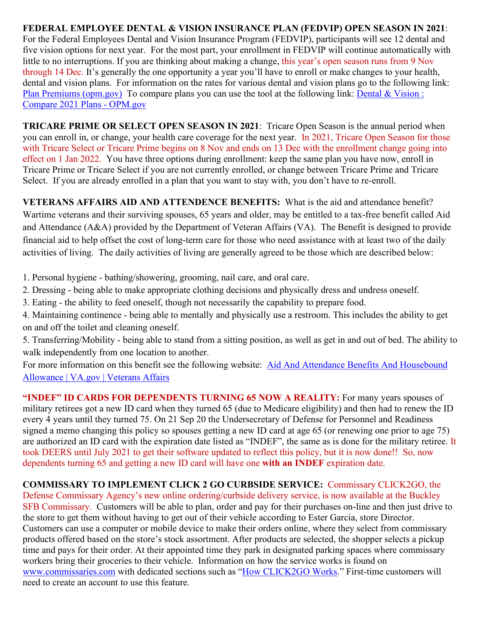**FEDERAL EMPLOYEE DENTAL & VISION INSURANCE PLAN (FEDVIP) OPEN SEASON IN 2021**: For the Federal Employees Dental and Vision Insurance Program (FEDVIP), participants will see 12 dental and five vision options for next year. For the most part, your enrollment in FEDVIP will continue automatically with little to no interruptions. If you are thinking about making a change, this year's open season runs from 9 Nov through 14 Dec. It's generally the one opportunity a year you'll have to enroll or make changes to your health, dental and vision plans. For information on the rates for various dental and vision plans go to the following link: [Plan Premiums \(opm.gov\)](https://www.opm.gov/healthcare-insurance/dental-vision/plan-information/plan-premiums/) To compare plans you can use the tool at the following link: Dental & Vision : [Compare 2021 Plans -](https://www.opm.gov/healthcare-insurance/healthcare/plan-information/compare-plans/fedvip) OPM.gov

**TRICARE PRIME OR SELECT OPEN SEASON IN 2021**: Tricare Open Season is the annual period when you can enroll in, or change, your health care coverage for the next year. In 2021, Tricare Open Season for those with Tricare Select or Tricare Prime begins on 8 Nov and ends on 13 Dec with the enrollment change going into effect on 1 Jan 2022. You have three options during enrollment: keep the same plan you have now, enroll in Tricare Prime or Tricare Select if you are not currently enrolled, or change between Tricare Prime and Tricare Select. If you are already enrolled in a plan that you want to stay with, you don't have to re-enroll.

**VETERANS AFFAIRS AID AND ATTENDENCE BENEFITS:** What is the aid and attendance benefit? Wartime veterans and their surviving spouses, 65 years and older, may be entitled to a tax-free benefit called Aid and Attendance (A&A) provided by the Department of Veteran Affairs (VA). The Benefit is designed to provide financial aid to help offset the cost of long-term care for those who need assistance with at least two of the daily activities of living. The daily activities of living are generally agreed to be those which are described below:

1. Personal hygiene - bathing/showering, grooming, nail care, and oral care.

- 2. Dressing being able to make appropriate clothing decisions and physically dress and undress oneself.
- 3. Eating the ability to feed oneself, though not necessarily the capability to prepare food.
- 4. Maintaining continence being able to mentally and physically use a restroom. This includes the ability to get on and off the toilet and cleaning oneself.
- 5. Transferring/Mobility being able to stand from a sitting position, as well as get in and out of bed. The ability to walk independently from one location to another.

For more information on this benefit see the following website: Aid And Attendance Benefits And Housebound [Allowance | VA.gov | Veterans Affairs](https://www.va.gov/pension/aid-attendance-housebound/)

**"INDEF" ID CARDS FOR DEPENDENTS TURNING 65 NOW A REALITY:** For many years spouses of military retirees got a new ID card when they turned 65 (due to Medicare eligibility) and then had to renew the ID every 4 years until they turned 75. On 21 Sep 20 the Undersecretary of Defense for Personnel and Readiness signed a memo changing this policy so spouses getting a new ID card at age 65 (or renewing one prior to age 75) are authorized an ID card with the expiration date listed as "INDEF", the same as is done for the military retiree. It took DEERS until July 2021 to get their software updated to reflect this policy, but it is now done!! So, now dependents turning 65 and getting a new ID card will have one **with an INDEF** expiration date.

**COMMISSARY TO IMPLEMENT CLICK 2 GO CURBSIDE SERVICE:** Commissary CLICK2GO, the Defense Commissary Agency's new online ordering/curbside delivery service, is now available at the Buckley SFB Commissary. Customers will be able to plan, order and pay for their purchases on-line and then just drive to the store to get them without having to get out of their vehicle according to Ester Garcia, store Director. Customers can use a computer or mobile device to make their orders online, where they select from commissary products offered based on the store's stock assortment. After products are selected, the shopper selects a pickup time and pays for their order. At their appointed time they park in designated parking spaces where commissary workers bring their groceries to their vehicle. Information on how the service works is found on [www.commissaries.com](http://www.commissaries.com/) with dedicated sections such as ["How CLICK2GO Works.](https://commissaries.com/how-CLICK2GO-works)" First-time customers will need to create an account to use this feature.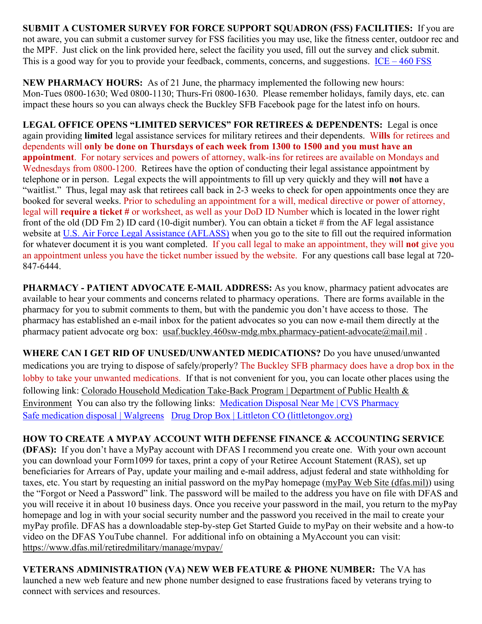**SUBMIT A CUSTOMER SURVEY FOR FORCE SUPPORT SQUADRON (FSS) FACILITIES:** If you are not aware, you can submit a customer survey for FSS facilities you may use, like the fitness center, outdoor rec and the MPF. Just click on the link provided here, select the facility you used, fill out the survey and click submit. This is a good way for you to provide your feedback, comments, concerns, and suggestions.  $ICE - 460 FSS$  $ICE - 460 FSS$ 

**NEW PHARMACY HOURS:** As of 21 June, the pharmacy implemented the following new hours: Mon-Tues 0800-1630; Wed 0800-1130; Thurs-Fri 0800-1630. Please remember holidays, family days, etc. can impact these hours so you can always check the Buckley SFB Facebook page for the latest info on hours.

**LEGAL OFFICE OPENS "LIMITED SERVICES" FOR RETIREES & DEPENDENTS:** Legal is once again providing **limited** legal assistance services for military retirees and their dependents. W**ills** for retirees and dependents will **only be done on Thursdays of each week from 1300 to 1500 and you must have an appointment**. For notary services and powers of attorney, walk-ins for retirees are available on Mondays and Wednesdays from 0800-1200. Retirees have the option of conducting their legal assistance appointment by telephone or in person. Legal expects the will appointments to fill up very quickly and they will **not** have a "waitlist." Thus, legal may ask that retirees call back in 2-3 weeks to check for open appointments once they are booked for several weeks. Prior to scheduling an appointment for a will, medical directive or power of attorney, legal will **require a ticket #** or worksheet, as well as your DoD ID Number which is located in the lower right front of the old (DD Fm 2) ID card (10-digit number). You can obtain a ticket # from the AF legal assistance website at [U.S. Air Force Legal Assistance \(AFLASS\)](https://aflegalassistance.law.af.mil/lass/lass.html) when you go to the site to fill out the required information for whatever document it is you want completed. If you call legal to make an appointment, they will **not** give you an appointment unless you have the ticket number issued by the website. For any questions call base legal at 720- 847-6444.

**PHARMACY - PATIENT ADVOCATE E-MAIL ADDRESS:** As you know, pharmacy patient advocates are available to hear your comments and concerns related to pharmacy operations. There are forms available in the pharmacy for you to submit comments to them, but with the pandemic you don't have access to those. The pharmacy has established an e-mail inbox for the patient advocates so you can now e-mail them directly at the pharmacy patient advocate org box: [usaf.buckley.460sw-mdg.mbx.pharmacy-patient-advocate@mail.mil](mailto:usaf.buckley.460sw-mdg.mbx.pharmacy-patient-advocate@mail.mil).

**WHERE CAN I GET RID OF UNUSED/UNWANTED MEDICATIONS?** Do you have unused/unwanted medications you are trying to dispose of safely/properly? The Buckley SFB pharmacy does have a drop box in the lobby to take your unwanted medications. If that is not convenient for you, you can locate other places using the following link: [Colorado Household Medication Take-Back Program | Department of Public Health &](https://cdphe.colorado.gov/colorado-medication-take-back-program)  [Environment](https://cdphe.colorado.gov/colorado-medication-take-back-program) You can also try the following links: [Medication Disposal Near Me | CVS Pharmacy](https://www.cvs.com/content/safer-communities-locate) [Safe medication disposal | Walgreens](https://www.walgreens.com/topic/pharmacy/safe-medication-disposal.jsp) [Drug Drop Box | Littleton CO \(littletongov.org\)](https://www.littletongov.org/city-services/city-departments/police-department/programs-services/drug-drop-box)

**HOW TO CREATE A MYPAY ACCOUNT WITH DEFENSE FINANCE & ACCOUNTING SERVICE (DFAS):** If you don't have a MyPay account with DFAS I recommend you create one. With your own account you can download your Form1099 for taxes, print a copy of your Retiree Account Statement (RAS), set up beneficiaries for Arrears of Pay, update your mailing and e-mail address, adjust federal and state withholding for taxes, etc. You start by requesting an initial password on the myPay homepage [\(myPay Web Site \(dfas.mil\)\)](https://mypay.dfas.mil/#/) using the "Forgot or Need a Password" link. The password will be mailed to the address you have on file with DFAS and you will receive it in about 10 business days. Once you receive your password in the mail, you return to the myPay homepage and log in with your social security number and the password you received in the mail to create your myPay profile. DFAS has a downloadable step-by-step Get Started Guide to myPay on their website and a how-to video on the DFAS YouTube channel. For additional info on obtaining a MyAccount you can visit: <https://www.dfas.mil/retiredmilitary/manage/mypay/>

**VETERANS ADMINISTRATION (VA) NEW WEB FEATURE & PHONE NUMBER:** The VA has launched a new web feature and new phone number designed to ease frustrations faced by veterans trying to connect with services and resources.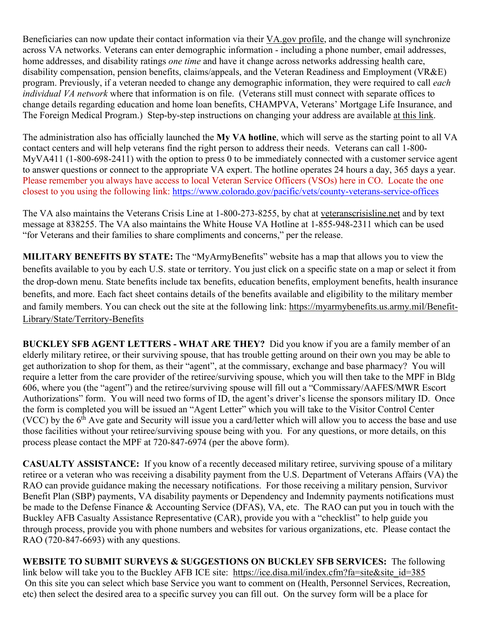Beneficiaries can now update their contact information via their [VA.gov](https://www.va.gov/change-address/) profile, and the change will synchronize across VA networks. Veterans can enter demographic information - including a phone number, email addresses, home addresses, and disability ratings *one time* and have it change across networks addressing health care, disability compensation, pension benefits, claims/appeals, and the Veteran Readiness and Employment (VR&E) program. Previously, if a veteran needed to change any demographic information, they were required to call *each individual VA network* where that information is on file. (Veterans still must connect with separate offices to change details regarding education and home loan benefits, CHAMPVA, Veterans' Mortgage Life Insurance, and The Foreign Medical Program.) Step-by-step instructions on changing your address are available at this [link.](https://www.va.gov/change-address/)

The administration also has officially launched the **My VA hotline**, which will serve as the starting point to all VA contact centers and will help veterans find the right person to address their needs. Veterans can call 1-800- MyVA411 (1-800-698-2411) with the option to press 0 to be immediately connected with a customer service agent to answer questions or connect to the appropriate VA expert. The hotline operates 24 hours a day, 365 days a year. Please remember you always have access to local Veteran Service Officers (VSOs) here in CO. Locate the one closest to you using the following link:<https://www.colorado.gov/pacific/vets/county-veterans-service-offices>

The VA also maintains the Veterans Crisis Line at 1-800-273-8255, by chat at [veteranscrisisline.net](https://www.va.gov/opa/pressrel/pressrelease.cfm?id=5588) and by text message at 838255. The VA also maintains the White House VA Hotline at 1-855-948-2311 which can be used "for Veterans and their families to share compliments and concerns," per the release.

**MILITARY BENEFITS BY STATE:** The "MyArmyBenefits" website has a map that allows you to view the benefits available to you by each U.S. state or territory. You just click on a specific state on a map or select it from the drop-down menu. State benefits include tax benefits, education benefits, employment benefits, health insurance benefits, and more. Each fact sheet contains details of the benefits available and eligibility to the military member and family members. You can check out the site at the following link: [https://myarmybenefits.us.army.mil/Benefit-](https://myarmybenefits.us.army.mil/Benefit-Library/State/Territory-Benefits)[Library/State/Territory-Benefits](https://myarmybenefits.us.army.mil/Benefit-Library/State/Territory-Benefits)

**BUCKLEY SFB AGENT LETTERS - WHAT ARE THEY?** Did you know if you are a family member of an elderly military retiree, or their surviving spouse, that has trouble getting around on their own you may be able to get authorization to shop for them, as their "agent", at the commissary, exchange and base pharmacy? You will require a letter from the care provider of the retiree/surviving spouse, which you will then take to the MPF in Bldg 606, where you (the "agent") and the retiree/surviving spouse will fill out a "Commissary/AAFES/MWR Escort Authorizations" form. You will need two forms of ID, the agent's driver's license the sponsors military ID. Once the form is completed you will be issued an "Agent Letter" which you will take to the Visitor Control Center (VCC) by the  $6<sup>th</sup>$  Ave gate and Security will issue you a card/letter which will allow you to access the base and use those facilities without your retiree/surviving spouse being with you. For any questions, or more details, on this process please contact the MPF at 720-847-6974 (per the above form).

**CASUALTY ASSISTANCE:** If you know of a recently deceased military retiree, surviving spouse of a military retiree or a veteran who was receiving a disability payment from the U.S. Department of Veterans Affairs (VA) the RAO can provide guidance making the necessary notifications. For those receiving a military pension, Survivor Benefit Plan (SBP) payments, VA disability payments or Dependency and Indemnity payments notifications must be made to the Defense Finance & Accounting Service (DFAS), VA, etc. The RAO can put you in touch with the Buckley AFB Casualty Assistance Representative (CAR), provide you with a "checklist" to help guide you through process, provide you with phone numbers and websites for various organizations, etc. Please contact the RAO (720-847-6693) with any questions.

**WEBSITE TO SUBMIT SURVEYS & SUGGESTIONS ON BUCKLEY SFB SERVICES:** The following link below will take you to the Buckley AFB ICE site: [https://ice.disa.mil/index.cfm?fa=site&site\\_id=385](https://ice.disa.mil/index.cfm?fa=site&site_id=385) On this site you can select which base Service you want to comment on (Health, Personnel Services, Recreation, etc) then select the desired area to a specific survey you can fill out. On the survey form will be a place for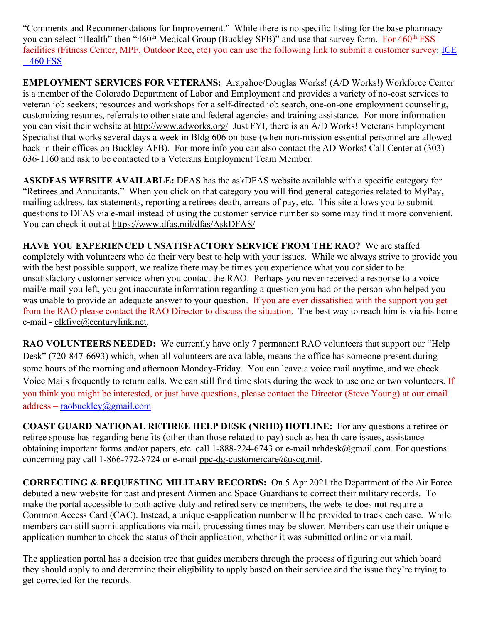"Comments and Recommendations for Improvement." While there is no specific listing for the base pharmacy you can select "Health" then "460<sup>th</sup> Medical Group (Buckley SFB)" and use that survey form. For 460<sup>th</sup> FSS facilities (Fitness Center, MPF, Outdoor Rec, etc) you can use the following link to submit a customer survey: [ICE](https://www.460fss.com/ice/)   $-460$  FSS

**EMPLOYMENT SERVICES FOR VETERANS:** Arapahoe/Douglas Works! (A/D Works!) Workforce Center is a member of the Colorado Department of Labor and Employment and provides a variety of no-cost services to veteran job seekers; resources and workshops for a self-directed job search, one-on-one employment counseling, customizing resumes, referrals to other state and federal agencies and training assistance. For more information you can visit their website at<http://www.adworks.org/>Just FYI, there is an A/D Works! Veterans Employment Specialist that works several days a week in Bldg 606 on base (when non-mission essential personnel are allowed back in their offices on Buckley AFB). For more info you can also contact the AD Works! Call Center at (303) 636-1160 and ask to be contacted to a Veterans Employment Team Member.

**ASKDFAS WEBSITE AVAILABLE:** DFAS has the askDFAS website available with a specific category for "Retirees and Annuitants." When you click on that category you will find general categories related to MyPay, mailing address, tax statements, reporting a retirees death, arrears of pay, etc. This site allows you to submit questions to DFAS via e-mail instead of using the customer service number so some may find it more convenient. You can check it out at<https://www.dfas.mil/dfas/AskDFAS/>

**HAVE YOU EXPERIENCED UNSATISFACTORY SERVICE FROM THE RAO?** We are staffed completely with volunteers who do their very best to help with your issues. While we always strive to provide you with the best possible support, we realize there may be times you experience what you consider to be unsatisfactory customer service when you contact the RAO. Perhaps you never received a response to a voice mail/e-mail you left, you got inaccurate information regarding a question you had or the person who helped you was unable to provide an adequate answer to your question. If you are ever dissatisfied with the support you get from the RAO please contact the RAO Director to discuss the situation. The best way to reach him is via his home e-mail - [elkfive@centurylink.net.](mailto:elkfive@centurylink.net)

**RAO VOLUNTEERS NEEDED:** We currently have only 7 permanent RAO volunteers that support our "Help Desk" (720-847-6693) which, when all volunteers are available, means the office has someone present during some hours of the morning and afternoon Monday-Friday. You can leave a voice mail anytime, and we check Voice Mails frequently to return calls. We can still find time slots during the week to use one or two volunteers. If you think you might be interested, or just have questions, please contact the Director (Steve Young) at our email address – [raobuckley@gmail.com](mailto:raobuckley@gmail.com)

**COAST GUARD NATIONAL RETIREE HELP DESK (NRHD) HOTLINE:** For any questions a retiree or retiree spouse has regarding benefits (other than those related to pay) such as health care issues, assistance obtaining important forms and/or papers, etc. call 1-888-224-6743 or e-mail [nrhdesk@gmail.com.](mailto:nrhdesk@gmail.com) For questions concerning pay call 1-866-772-8724 or e-mail [ppc-dg-customercare@uscg.mil.](mailto:ppc-dg-customercare@uscg.mil)

**CORRECTING & REQUESTING MILITARY RECORDS:** On 5 Apr 2021 the Department of the Air Force debuted a new website for past and present Airmen and Space Guardians to correct their military records. To make the portal accessible to both active-duty and retired service members, the website does **not** require a Common Access Card (CAC). Instead, a unique e-application number will be provided to track each case. While members can still submit applications via mail, processing times may be slower. Members can use their unique eapplication number to check the status of their application, whether it was submitted online or via mail.

The application portal has a decision tree that guides members through the process of figuring out which board they should apply to and determine their eligibility to apply based on their service and the issue they're trying to get corrected for the records.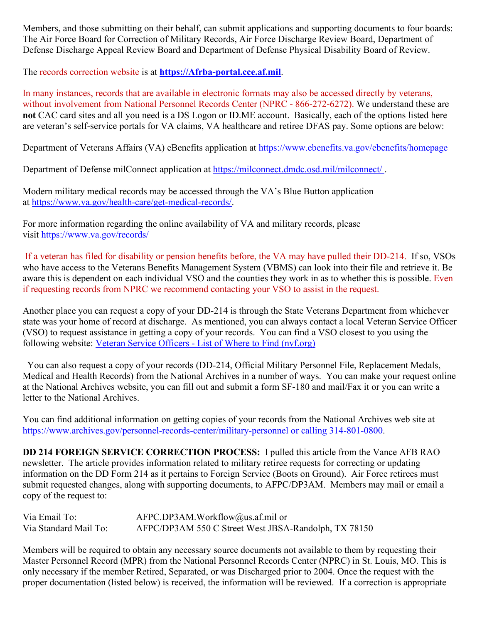Members, and those submitting on their behalf, can submit applications and supporting documents to four boards: The Air Force Board for Correction of Military Records, Air Force Discharge Review Board, Department of Defense Discharge Appeal Review Board and Department of Defense Physical Disability Board of Review.

The records correction website is at **[https://Afrba-portal.cce.af.mil](https://afrba-portal.cce.af.mil/)**.

In many instances, records that are available in electronic formats may also be accessed directly by veterans, without involvement from National Personnel Records Center (NPRC - 866-272-6272). We understand these are **not** CAC card sites and all you need is a DS Logon or ID.ME account. Basically, each of the options listed here are veteran's self-service portals for VA claims, VA healthcare and retiree DFAS pay. Some options are below:

Department of Veterans Affairs (VA) eBenefits application at [https://www.ebenefits.va.gov/ebenefits/homepage](https://gcc02.safelinks.protection.outlook.com/?url=https%3A%2F%2Fwww.ebenefits.va.gov%2Febenefits%2Fhomepage&data=04%7C01%7CJMedina%40arapahoegov.com%7C4ba6a9bb0f614d20689d08d8f4881a52%7C57d7b626d71d47f684c1c43bda19ba16%7C1%7C0%7C637528212705904594%7CUnknown%7CTWFpbGZsb3d8eyJWIjoiMC4wLjAwMDAiLCJQIjoiV2luMzIiLCJBTiI6Ik1haWwiLCJXVCI6Mn0%3D%7C1000&sdata=hXw9dmDwVyyfMT6CLAKjNC7ErxQaRPjSNwpBd6NAZQE%3D&reserved=0)

Department of Defense milConnect application at [https://milconnect.dmdc.osd.mil/milconnect/](https://gcc02.safelinks.protection.outlook.com/?url=https%3A%2F%2Fmilconnect.dmdc.osd.mil%2Fmilconnect%2F&data=04%7C01%7CJMedina%40arapahoegov.com%7C4ba6a9bb0f614d20689d08d8f4881a52%7C57d7b626d71d47f684c1c43bda19ba16%7C1%7C0%7C637528212705914549%7CUnknown%7CTWFpbGZsb3d8eyJWIjoiMC4wLjAwMDAiLCJQIjoiV2luMzIiLCJBTiI6Ik1haWwiLCJXVCI6Mn0%3D%7C1000&sdata=Eov1Utj64StS5R1dMb%2F4BZh07Y6ue08qLBwOJlppgzs%3D&reserved=0) .

Modern military medical records may be accessed through the VA's Blue Button application at [https://www.va.gov/health-care/get-medical-records/.](https://gcc02.safelinks.protection.outlook.com/?url=https%3A%2F%2Fwww.va.gov%2Fhealth-care%2Fget-medical-records%2F&data=04%7C01%7CJMedina%40arapahoegov.com%7C4ba6a9bb0f614d20689d08d8f4881a52%7C57d7b626d71d47f684c1c43bda19ba16%7C1%7C0%7C637528212705914549%7CUnknown%7CTWFpbGZsb3d8eyJWIjoiMC4wLjAwMDAiLCJQIjoiV2luMzIiLCJBTiI6Ik1haWwiLCJXVCI6Mn0%3D%7C1000&sdata=ZscT%2FLEpaJZRPKyOrDzvuwAjP4QuxW2MrNoew0X87%2BU%3D&reserved=0)

For more information regarding the online availability of VA and military records, please visit [https://www.va.gov/records/](https://gcc02.safelinks.protection.outlook.com/?url=https%3A%2F%2Fwww.va.gov%2Frecords%2F&data=04%7C01%7CJMedina%40arapahoegov.com%7C4ba6a9bb0f614d20689d08d8f4881a52%7C57d7b626d71d47f684c1c43bda19ba16%7C1%7C0%7C637528212705914549%7CUnknown%7CTWFpbGZsb3d8eyJWIjoiMC4wLjAwMDAiLCJQIjoiV2luMzIiLCJBTiI6Ik1haWwiLCJXVCI6Mn0%3D%7C1000&sdata=T26BlYnzbcJfnkz0lJD8hvNO988S%2BhMVRIXbJfmmpbA%3D&reserved=0)

If a veteran has filed for disability or pension benefits before, the VA may have pulled their DD-214. If so, VSOs who have access to the Veterans Benefits Management System (VBMS) can look into their file and retrieve it. Be aware this is dependent on each individual VSO and the counties they work in as to whether this is possible. Even if requesting records from NPRC we recommend contacting your VSO to assist in the request.

Another place you can request a copy of your DD-214 is through the State Veterans Department from whichever state was your home of record at discharge. As mentioned, you can always contact a local Veteran Service Officer (VSO) to request assistance in getting a copy of your records. You can find a VSO closest to you using the following website: Veteran Service Officers - List of Where to Find [\(nvf.org\)](https://nvf.org/veteran-service-officers/)

 You can also request a copy of your records (DD-214, Official Military Personnel File, Replacement Medals, Medical and Health Records) from the National Archives in a number of ways. You can make your request online at the National Archives website, you can fill out and submit a form SF-180 and mail/Fax it or you can write a letter to the National Archives.

You can find additional information on getting copies of your records from the National Archives web site at [https://www.archives.gov/personnel-records-center/military-personnel](https://www.archives.gov/personnel-records-center/military-personnel%20or%20calling%20314-801-0800) or calling 314-801-0800.

**DD 214 FOREIGN SERVICE CORRECTION PROCESS:** I pulled this article from the Vance AFB RAO newsletter. The article provides information related to military retiree requests for correcting or updating information on the DD Form 214 as it pertains to Foreign Service (Boots on Ground). Air Force retirees must submit requested changes, along with supporting documents, to AFPC/DP3AM. Members may mail or email a copy of the request to:

| Via Email To:         | $AFPC.DP3AM.Workflow@us.af.mil$ or                   |
|-----------------------|------------------------------------------------------|
| Via Standard Mail To: | AFPC/DP3AM 550 C Street West JBSA-Randolph, TX 78150 |

Members will be required to obtain any necessary source documents not available to them by requesting their Master Personnel Record (MPR) from the National Personnel Records Center (NPRC) in St. Louis, MO. This is only necessary if the member Retired, Separated, or was Discharged prior to 2004. Once the request with the proper documentation (listed below) is received, the information will be reviewed. If a correction is appropriate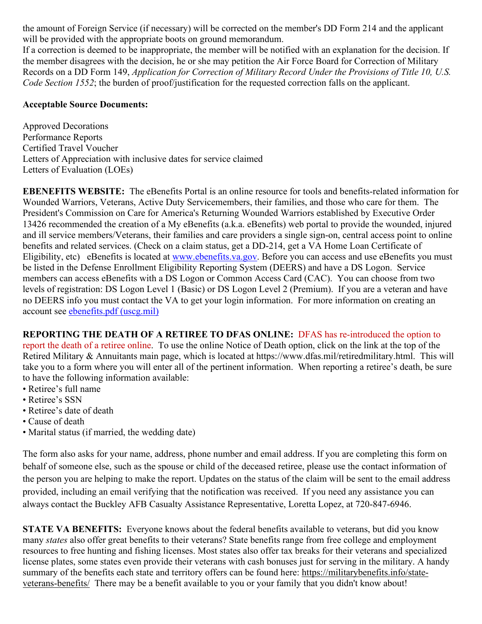the amount of Foreign Service (if necessary) will be corrected on the member's DD Form 214 and the applicant will be provided with the appropriate boots on ground memorandum.

If a correction is deemed to be inappropriate, the member will be notified with an explanation for the decision. If the member disagrees with the decision, he or she may petition the Air Force Board for Correction of Military Records on a DD Form 149, *Application for Correction of Military Record Under the Provisions of Title 10, U.S. Code Section 1552*; the burden of proof/justification for the requested correction falls on the applicant.

### **Acceptable Source Documents:**

Approved Decorations Performance Reports Certified Travel Voucher Letters of Appreciation with inclusive dates for service claimed Letters of Evaluation (LOEs)

**EBENEFITS WEBSITE:** The eBenefits Portal is an online resource for tools and benefits-related information for Wounded Warriors, Veterans, Active Duty Servicemembers, their families, and those who care for them. The President's Commission on Care for America's Returning Wounded Warriors established by Executive Order 13426 recommended the creation of a My eBenefits (a.k.a. eBenefits) web portal to provide the wounded, injured and ill service members/Veterans, their families and care providers a single sign-on, central access point to online benefits and related services. (Check on a claim status, get a DD-214, get a VA Home Loan Certificate of Eligibility, etc) eBenefits is located at [www.ebenefits.va.gov.](http://www.ebenefits.va.gov/) Before you can access and use eBenefits you must be listed in the Defense Enrollment Eligibility Reporting System (DEERS) and have a DS Logon. Service members can access eBenefits with a DS Logon or Common Access Card (CAC). You can choose from two levels of registration: DS Logon Level 1 (Basic) or DS Logon Level 2 (Premium). If you are a veteran and have no DEERS info you must contact the VA to get your login information. For more information on creating an account see [ebenefits.pdf \(uscg.mil\)](https://www.dcms.uscg.mil/Portals/10/CG-1/cg111/docs/TAP/ebenefits.pdf?ver=2017-03-06-144849-590)

# **REPORTING THE DEATH OF A RETIREE TO DFAS ONLINE:** DFAS has re-introduced the option to

report the death of a retiree online. To use the online Notice of Death option, click on the link at the top of the Retired Military & Annuitants main page, which is located at https://www.dfas.mil/retiredmilitary.html. This will take you to a form where you will enter all of the pertinent information. When reporting a retiree's death, be sure to have the following information available:

- Retiree's full name
- Retiree's SSN
- Retiree's date of death
- Cause of death
- Marital status (if married, the wedding date)

The form also asks for your name, address, phone number and email address. If you are completing this form on behalf of someone else, such as the spouse or child of the deceased retiree, please use the contact information of the person you are helping to make the report. Updates on the status of the claim will be sent to the email address provided, including an email verifying that the notification was received. If you need any assistance you can always contact the Buckley AFB Casualty Assistance Representative, Loretta Lopez, at 720-847-6946.

**STATE VA BENEFITS:** Everyone knows about the federal benefits available to veterans, but did you know many *states* also offer great benefits to their veterans? State benefits range from free college and employment resources to free hunting and fishing licenses. Most states also offer tax breaks for their veterans and specialized license plates, some states even provide their veterans with cash bonuses just for serving in the military. A handy summary of the benefits each state and territory offers can be found here: [https://militarybenefits.info/state](https://militarybenefits.info/state-veterans-benefits/)[veterans-benefits/](https://militarybenefits.info/state-veterans-benefits/) There may be a benefit available to you or your family that you didn't know about!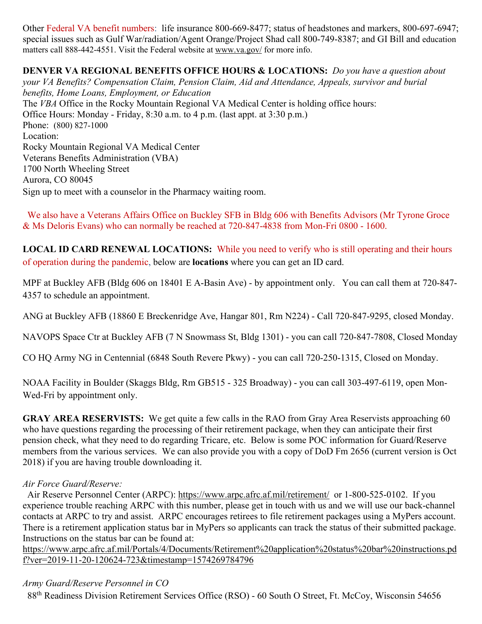Other Federal VA benefit numbers: life insurance 800-669-8477; status of headstones and markers, 800-697-6947; special issues such as Gulf War/radiation/Agent Orange/Project Shad call 800-749-8387; and GI Bill and education matters call 888-442-4551. Visit the Federal website at [www.va.gov/](http://www.va.gov/) for more info.

**DENVER VA REGIONAL BENEFITS OFFICE HOURS & LOCATIONS:** *Do you have a question about your VA Benefits? Compensation Claim, Pension Claim, Aid and Attendance, Appeals, survivor and burial benefits, Home Loans, Employment, or Education*  The *VBA* Office in the Rocky Mountain Regional VA Medical Center is holding office hours: Office Hours: Monday - Friday, 8:30 a.m. to 4 p.m. (last appt. at 3:30 p.m.) Phone: [\(800\) 827-1000](https://www.google.com/search?source=hp&ei=1bIFXOnJLePk8APkxJfIDw&q=denver+va+regional+benefits+office+phone+number&oq=Denver+va+regional+benef&gs_l=psy-ab.1.1.0i22i30l4.1057.7073..9944...0.0..0.148.2902.2j23......0....1..gws-wiz.....0..0j0i131j0i10.2DXy9-Yewu0) Location: Rocky Mountain Regional VA Medical Center Veterans Benefits Administration (VBA) 1700 North Wheeling Street Aurora, CO 80045 Sign up to meet with a counselor in the Pharmacy waiting room.

 We also have a Veterans Affairs Office on Buckley SFB in Bldg 606 with Benefits Advisors (Mr Tyrone Groce & Ms Deloris Evans) who can normally be reached at 720-847-4838 from Mon-Fri 0800 - 1600.

**LOCAL ID CARD RENEWAL LOCATIONS:** While you need to verify who is still operating and their hours of operation during the pandemic, below are **locations** where you can get an ID card.

MPF at Buckley AFB (Bldg 606 on 18401 E A-Basin Ave) - by appointment only. You can call them at 720-847- 4357 to schedule an appointment.

ANG at Buckley AFB (18860 E Breckenridge Ave, Hangar 801, Rm N224) - Call 720-847-9295, closed Monday.

NAVOPS Space Ctr at Buckley AFB (7 N Snowmass St, Bldg 1301) - you can call 720-847-7808, Closed Monday

CO HQ Army NG in Centennial (6848 South Revere Pkwy) - you can call 720-250-1315, Closed on Monday.

NOAA Facility in Boulder (Skaggs Bldg, Rm GB515 - 325 Broadway) - you can call 303-497-6119, open Mon-Wed-Fri by appointment only.

**GRAY AREA RESERVISTS:** We get quite a few calls in the RAO from Gray Area Reservists approaching 60 who have questions regarding the processing of their retirement package, when they can anticipate their first pension check, what they need to do regarding Tricare, etc. Below is some POC information for Guard/Reserve members from the various services. We can also provide you with a copy of DoD Fm 2656 (current version is Oct 2018) if you are having trouble downloading it.

#### *Air Force Guard/Reserve:*

 Air Reserve Personnel Center (ARPC): <https://www.arpc.afrc.af.mil/retirement/>or 1-800-525-0102. If you experience trouble reaching ARPC with this number, please get in touch with us and we will use our back-channel contacts at ARPC to try and assist. ARPC encourages retirees to file retirement packages using a MyPers account. There is a retirement application status bar in MyPers so applicants can track the status of their submitted package. Instructions on the status bar can be found at:

[https://www.arpc.afrc.af.mil/Portals/4/Documents/Retirement%20application%20status%20bar%20instructions.pd](https://www.arpc.afrc.af.mil/Portals/4/Documents/Retirement%20application%20status%20bar%20instructions.pdf?ver=2019-11-20-120624-723×tamp=1574269784796) [f?ver=2019-11-20-120624-723&timestamp=1574269784796](https://www.arpc.afrc.af.mil/Portals/4/Documents/Retirement%20application%20status%20bar%20instructions.pdf?ver=2019-11-20-120624-723×tamp=1574269784796)

### *Army Guard/Reserve Personnel in CO*

88<sup>th</sup> Readiness Division Retirement Services Office (RSO) - 60 South O Street, Ft. McCoy, Wisconsin 54656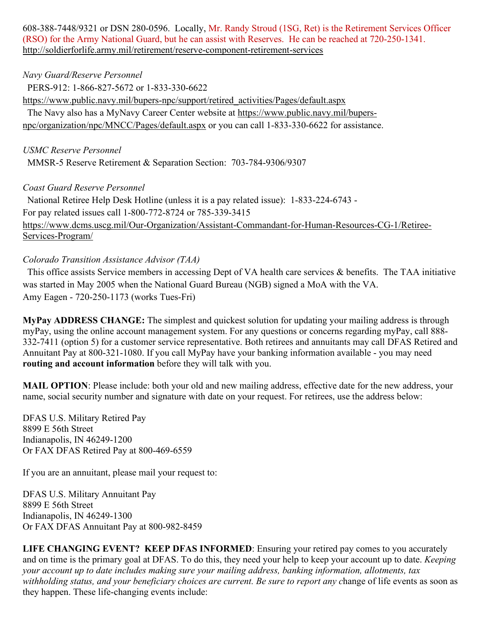608-388-7448/9321 or DSN 280-0596. Locally, Mr. Randy Stroud (1SG, Ret) is the Retirement Services Officer (RSO) for the Army National Guard, but he can assist with Reserves. He can be reached at 720-250-1341. <http://soldierforlife.army.mil/retirement/reserve-component-retirement-services>

### *Navy Guard/Reserve Personnel*

 PERS-912: 1-866-827-5672 or 1-833-330-6622 [https://www.public.navy.mil/bupers-npc/support/retired\\_activities/Pages/default.aspx](https://www.public.navy.mil/bupers-npc/support/retired_activities/Pages/default.aspx) The Navy also has a MyNavy Career Center website at [https://www.public.navy.mil/bupers](https://www.public.navy.mil/bupers-npc/organization/npc/MNCC/Pages/default.aspx)[npc/organization/npc/MNCC/Pages/default.aspx](https://www.public.navy.mil/bupers-npc/organization/npc/MNCC/Pages/default.aspx) or you can call 1-833-330-6622 for assistance.

### *USMC Reserve Personnel*

MMSR-5 Reserve Retirement & Separation Section: 703-784-9306/9307

## *Coast Guard Reserve Personnel*

 National Retiree Help Desk Hotline (unless it is a pay related issue): 1-833-224-6743 - For pay related issues call 1-800-772-8724 or 785-339-3415 [https://www.dcms.uscg.mil/Our-Organization/Assistant-Commandant-for-Human-Resources-CG-1/Retiree-](https://www.dcms.uscg.mil/Our-Organization/Assistant-Commandant-for-Human-Resources-CG-1/Retiree-Services-Program/)[Services-Program/](https://www.dcms.uscg.mil/Our-Organization/Assistant-Commandant-for-Human-Resources-CG-1/Retiree-Services-Program/)

## *Colorado Transition Assistance Advisor (TAA)*

 This office assists Service members in accessing Dept of VA health care services & benefits. The TAA initiative was started in May 2005 when the National Guard Bureau (NGB) signed a MoA with the VA. Amy Eagen - 720-250-1173 (works Tues-Fri)

**MyPay ADDRESS CHANGE:** The simplest and quickest solution for updating your mailing address is through myPay, using the online account management system. For any questions or concerns regarding myPay, call 888- 332-7411 (option 5) for a customer service representative. Both retirees and annuitants may call DFAS Retired and Annuitant Pay at 800-321-1080. If you call MyPay have your banking information available - you may need **routing and account information** before they will talk with you.

**MAIL OPTION**: Please include: both your old and new mailing address, effective date for the new address, your name, social security number and signature with date on your request. For retirees, use the address below:

DFAS U.S. Military Retired Pay 8899 E 56th Street Indianapolis, IN 46249-1200 Or FAX DFAS Retired Pay at 800-469-6559

If you are an annuitant, please mail your request to:

DFAS U.S. Military Annuitant Pay 8899 E 56th Street Indianapolis, IN 46249-1300 Or FAX DFAS Annuitant Pay at 800-982-8459

**LIFE CHANGING EVENT? KEEP DFAS INFORMED**: Ensuring your retired pay comes to you accurately and on time is the primary goal at DFAS. To do this, they need your help to keep your account up to date. *Keeping your account up to date includes making sure your mailing address, banking information, allotments, tax withholding status, and your beneficiary choices are current. Be sure to report any c*hange of life events as soon as they happen. These life-changing events include: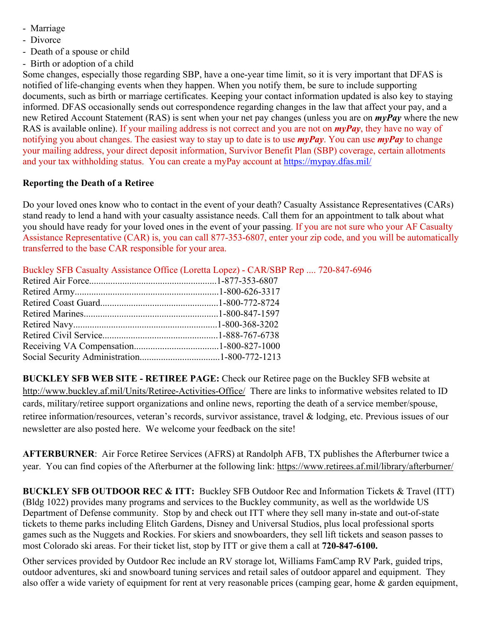- Marriage
- Divorce
- Death of a spouse or child
- Birth or adoption of a child

Some changes, especially those regarding SBP, have a one-year time limit, so it is very important that DFAS is notified of life-changing events when they happen. When you notify them, be sure to include supporting documents, such as birth or marriage certificates. Keeping your contact information updated is also key to staying informed. DFAS occasionally sends out correspondence regarding changes in the law that affect your pay, and a new Retired Account Statement (RAS) is sent when your net pay changes (unless you are on *myPay* where the new RAS is available online). If your mailing address is not correct and you are not on *myPay*, they have no way of notifying you about changes. The easiest way to stay up to date is to use *myPay*. You can use *myPay* to change your mailing address, your direct deposit information, Survivor Benefit Plan (SBP) coverage, certain allotments and your tax withholding status. You can create a myPay account at <https://mypay.dfas.mil/>

## **Reporting the Death of a Retiree**

Do your loved ones know who to contact in the event of your death? Casualty Assistance Representatives (CARs) stand ready to lend a hand with your casualty assistance needs. Call them for an appointment to talk about what you should have ready for your loved ones in the event of your passing. If you are not sure who your AF Casualty Assistance Representative (CAR) is, you can call 877-353-6807, enter your zip code, and you will be automatically transferred to the base CAR responsible for your area.

| Buckley SFB Casualty Assistance Office (Loretta Lopez) - CAR/SBP Rep 720-847-6946 |
|-----------------------------------------------------------------------------------|
|                                                                                   |
|                                                                                   |
|                                                                                   |
|                                                                                   |
|                                                                                   |
|                                                                                   |
|                                                                                   |
|                                                                                   |

**BUCKLEY SFB WEB SITE - RETIREE PAGE:** Check our Retiree page on the Buckley SFB website at <http://www.buckley.af.mil/Units/Retiree-Activities-Office/> There are links to informative websites related to ID cards, military/retiree support organizations and online news, reporting the death of a service member/spouse, retiree information/resources, veteran's records, survivor assistance, travel & lodging, etc. Previous issues of our newsletter are also posted here. We welcome your feedback on the site!

**AFTERBURNER**: Air Force Retiree Services (AFRS) at Randolph AFB, TX publishes the Afterburner twice a year. You can find copies of the Afterburner at the following link:<https://www.retirees.af.mil/library/afterburner/>

**BUCKLEY SFB OUTDOOR REC & ITT:** Buckley SFB Outdoor Rec and Information Tickets & Travel (ITT) (Bldg 1022) provides many programs and services to the Buckley community, as well as the worldwide US Department of Defense community. Stop by and check out ITT where they sell many in-state and out-of-state tickets to theme parks including Elitch Gardens, Disney and Universal Studios, plus local professional sports games such as the Nuggets and Rockies. For skiers and snowboarders, they sell lift tickets and season passes to most Colorado ski areas. For their ticket list, stop by ITT or give them a call at **720-847-6100.**

Other services provided by Outdoor Rec include an RV storage lot, Williams FamCamp RV Park, guided trips, outdoor adventures, ski and snowboard tuning services and retail sales of outdoor apparel and equipment. They also offer a wide variety of equipment for rent at very reasonable prices (camping gear, home & garden equipment,